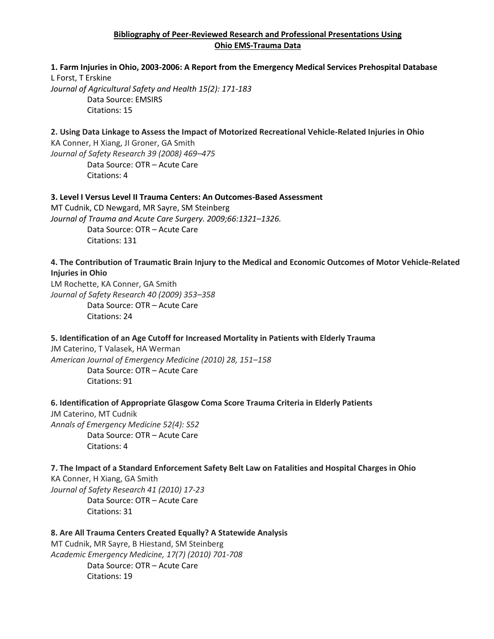# **Bibliography of Peer-Reviewed Research and Professional Presentations Using Ohio EMS-Trauma Data**

# **1. Farm Injuries in Ohio, 2003-2006: A Report from the Emergency Medical Services Prehospital Database** L Forst, T Erskine\*

*Journal of Agricultural Safety and Health 15(2): 171-183* Data Source: EMSIRS Citations: 15

# **2. Using Data Linkage to Assess the Impact of Motorized Recreational Vehicle-Related Injuries in Ohio**

KA Conner, H Xiang, JI Groner, GA Smith *Journal of Safety Research 39 (2008) 469–475* Data Source: OTR – Acute Care Citations: 4

# **3. Level I Versus Level II Trauma Centers: An Outcomes-Based Assessment**

MT Cudnik, CD Newgard, MR Sayre, SM Steinberg *Journal of Trauma and Acute Care Surgery. 2009;66:1321–1326.* Data Source: OTR – Acute Care Citations: 131

# **4. The Contribution of Traumatic Brain Injury to the Medical and Economic Outcomes of Motor Vehicle-Related Injuries in Ohio**

LM Rochette, KA Conner, GA Smith *Journal of Safety Research 40 (2009) 353–358* Data Source: OTR – Acute Care Citations: 24

# **5. Identification of an Age Cutoff for Increased Mortality in Patients with Elderly Trauma**

JM Caterino, T Valasek, HA Werman *American Journal of Emergency Medicine (2010) 28, 151–158* Data Source: OTR – Acute Care Citations: 91

# **6. Identification of Appropriate Glasgow Coma Score Trauma Criteria in Elderly Patients**

JM Caterino, MT Cudnik *Annals of Emergency Medicine 52(4): S52* Data Source: OTR – Acute Care Citations: 4

# **7. The Impact of a Standard Enforcement Safety Belt Law on Fatalities and Hospital Charges in Ohio**

KA Conner, H Xiang, GA Smith *Journal of Safety Research 41 (2010) 17-23* Data Source: OTR – Acute Care Citations: 31

# **8. Are All Trauma Centers Created Equally? A Statewide Analysis**

MT Cudnik, MR Sayre, B Hiestand, SM Steinberg *Academic Emergency Medicine, 17(7) (2010) 701-708* Data Source: OTR – Acute Care Citations: 19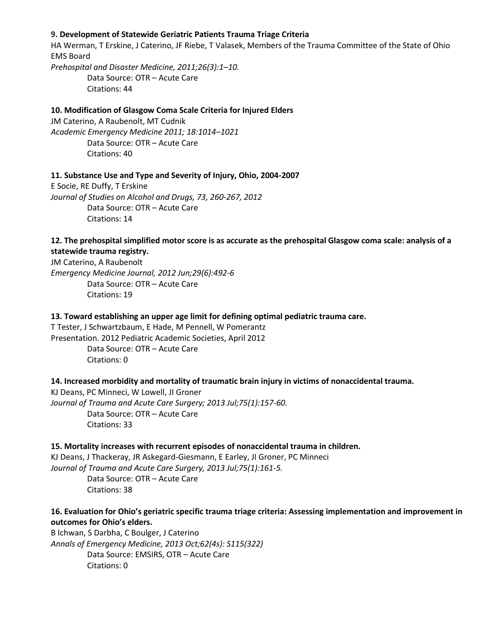# **9. Development of Statewide Geriatric Patients Trauma Triage Criteria**

HA Werman, T Erskine, J Caterino, JF Riebe, T Valasek, Members of the Trauma Committee of the State of Ohio EMS Board *Prehospital and Disaster Medicine, 2011;26(3):1–10.* Data Source: OTR – Acute Care Citations: 44

#### **10. Modification of Glasgow Coma Scale Criteria for Injured Elders**

JM Caterino, A Raubenolt, MT Cudnik *Academic Emergency Medicine 2011; 18:1014–1021* Data Source: OTR – Acute Care Citations: 40

#### **11. Substance Use and Type and Severity of Injury, Ohio, 2004-2007**

E Socie, RE Duffy, T Erskine *Journal of Studies on Alcohol and Drugs, 73, 260-267, 2012* Data Source: OTR – Acute Care Citations: 14

# **12. The prehospital simplified motor score is as accurate as the prehospital Glasgow coma scale: analysis of a statewide trauma registry.**

JM Caterino, A Raubenolt *Emergency Medicine Journal, 2012 Jun;29(6):492-6* Data Source: OTR – Acute Care Citations: 19

#### **13. Toward establishing an upper age limit for defining optimal pediatric trauma care.**

T Tester, J Schwartzbaum, E Hade, M Pennell, W Pomerantz Presentation. 2012 Pediatric Academic Societies, April 2012 Data Source: OTR – Acute Care Citations: 0

#### **14. Increased morbidity and mortality of traumatic brain injury in victims of nonaccidental trauma.**

KJ Deans, PC Minneci, W Lowell, JI Groner *Journal of Trauma and Acute Care Surgery; 2013 Jul;75(1):157-60.* Data Source: OTR – Acute Care Citations: 33

#### **15. Mortality increases with recurrent episodes of nonaccidental trauma in children.**

KJ Deans, J Thackeray, JR Askegard-Giesmann, E Earley, JI Groner, PC Minneci *Journal of Trauma and Acute Care Surgery, 2013 Jul;75(1):161-5.*

Data Source: OTR – Acute Care Citations: 38

# **16. Evaluation for Ohio's geriatric specific trauma triage criteria: Assessing implementation and improvement in outcomes for Ohio's elders.**

B Ichwan, S Darbha, C Boulger, J Caterino *Annals of Emergency Medicine, 2013 Oct;62(4s): S115(322)* Data Source: EMSIRS, OTR – Acute Care Citations: 0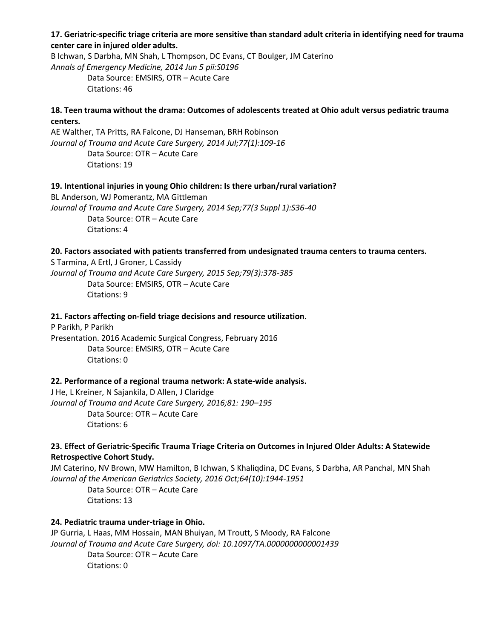**17. Geriatric-specific triage criteria are more sensitive than standard adult criteria in identifying need for trauma center care in injured older adults.**

B Ichwan, S Darbha, MN Shah, L Thompson, DC Evans, CT Boulger, JM Caterino *Annals of Emergency Medicine, 2014 Jun 5 pii:S0196* Data Source: EMSIRS, OTR – Acute Care

Citations: 46

# **18. Teen trauma without the drama: Outcomes of adolescents treated at Ohio adult versus pediatric trauma centers.**

AE Walther, TA Pritts, RA Falcone, DJ Hanseman, BRH Robinson *Journal of Trauma and Acute Care Surgery, 2014 Jul;77(1):109-16* Data Source: OTR – Acute Care Citations: 19

# **19. Intentional injuries in young Ohio children: Is there urban/rural variation?**

BL Anderson, WJ Pomerantz, MA Gittleman *Journal of Trauma and Acute Care Surgery, 2014 Sep;77(3 Suppl 1):S36-40* Data Source: OTR – Acute Care Citations: 4

#### **20. Factors associated with patients transferred from undesignated trauma centers to trauma centers.**

S Tarmina, A Ertl, J Groner, L Cassidy *Journal of Trauma and Acute Care Surgery, 2015 Sep;79(3):378-385* Data Source: EMSIRS, OTR – Acute Care Citations: 9

#### **21. Factors affecting on-field triage decisions and resource utilization.**

P Parikh, P Parikh Presentation. 2016 Academic Surgical Congress, February 2016 Data Source: EMSIRS, OTR – Acute Care Citations: 0

# **22. Performance of a regional trauma network: A state-wide analysis.**

J He, L Kreiner, N Sajankila, D Allen, J Claridge *Journal of Trauma and Acute Care Surgery, 2016;81: 190–195* Data Source: OTR – Acute Care Citations: 6

# **23. Effect of Geriatric-Specific Trauma Triage Criteria on Outcomes in Injured Older Adults: A Statewide Retrospective Cohort Study.**

JM Caterino, NV Brown, MW Hamilton, B Ichwan, S Khaliqdina, DC Evans, S Darbha, AR Panchal, MN Shah *Journal of the American Geriatrics Society, 2016 Oct;64(10):1944-1951*

Data Source: OTR – Acute Care Citations: 13

# **24. Pediatric trauma under-triage in Ohio.**

JP Gurria, L Haas, MM Hossain, MAN Bhuiyan, M Troutt, S Moody, RA Falcone *Journal of Trauma and Acute Care Surgery, doi: 10.1097/TA.0000000000001439* Data Source: OTR – Acute Care Citations: 0